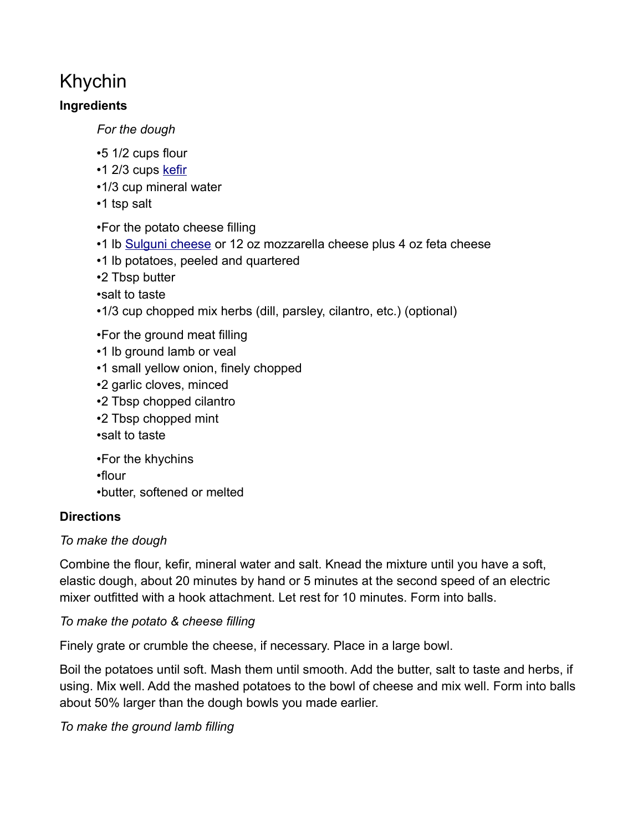# Khychin

#### **Ingredients**

*For the dough*

- •5 1/2 cups flour
- $\cdot$ 1 2/3 cups [kefir](https://en.wikipedia.org/wiki/Kefir)
- •1/3 cup mineral water
- •1 tsp salt

•For the potato cheese filling

- •1 lb [Sulguni cheese](https://en.wikipedia.org/wiki/Sulguni) or 12 oz mozzarella cheese plus 4 oz feta cheese
- •1 lb potatoes, peeled and quartered
- •2 Tbsp butter
- •salt to taste
- •1/3 cup chopped mix herbs (dill, parsley, cilantro, etc.) (optional)
- •For the ground meat filling
- •1 lb ground lamb or veal
- •1 small yellow onion, finely chopped
- •2 garlic cloves, minced
- •2 Tbsp chopped cilantro
- •2 Tbsp chopped mint
- •salt to taste
- •For the khychins
- •flour
- •butter, softened or melted

## **Directions**

## *To make the dough*

Combine the flour, kefir, mineral water and salt. Knead the mixture until you have a soft, elastic dough, about 20 minutes by hand or 5 minutes at the second speed of an electric mixer outfitted with a hook attachment. Let rest for 10 minutes. Form into balls.

#### *To make the potato & cheese filling*

Finely grate or crumble the cheese, if necessary. Place in a large bowl.

Boil the potatoes until soft. Mash them until smooth. Add the butter, salt to taste and herbs, if using. Mix well. Add the mashed potatoes to the bowl of cheese and mix well. Form into balls about 50% larger than the dough bowls you made earlier.

*To make the ground lamb filling*